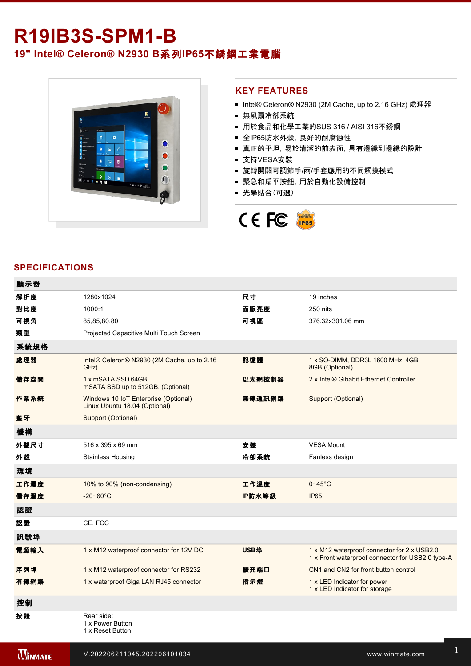# **R19IB3S-SPM1-B 19" Intel® Celeron® N2930 B**系列**IP65**不銹鋼工業電腦



## **KEY FEATURES**

- Intel® Celeron® N2930 (2M Cache, up to 2.16 GHz) 處理器
- 無風扇冷卻系統
- 用於食品和化學工業的SUS 316 / AISI 316不銹鋼
- 全IP65防水外殼, 良好的耐腐蝕性
- 真正的平坦,易於清潔的前表面,具有邊緣到邊緣的設計
- 支持VESA安裝
- 旋轉開關可調節手/雨/手套應用的不同觸摸模式
- 緊急和扁平按鈕,用於自動化設備控制
- 光學貼合(可選)



## **SPECIFICATIONS**

| 顯示器  |                                                                       |        |                                                                                                 |
|------|-----------------------------------------------------------------------|--------|-------------------------------------------------------------------------------------------------|
| 解析度  | 1280x1024                                                             | 尺寸     | 19 inches                                                                                       |
| 對比度  | 1000:1                                                                | 面版亮度   | 250 nits                                                                                        |
| 可視角  | 85,85,80,80                                                           | 可視區    | 376.32x301.06 mm                                                                                |
| 類型   | Projected Capacitive Multi Touch Screen                               |        |                                                                                                 |
| 系統規格 |                                                                       |        |                                                                                                 |
| 處理器  | Intel® Celeron® N2930 (2M Cache, up to 2.16<br>GHz)                   | 記憶體    | 1 x SO-DIMM, DDR3L 1600 MHz, 4GB<br>8GB (Optional)                                              |
| 儲存空間 | 1 x mSATA SSD 64GB.<br>mSATA SSD up to 512GB. (Optional)              | 以太網控制器 | 2 x Intel® Gibabit Ethernet Controller                                                          |
| 作業系統 | Windows 10 IoT Enterprise (Optional)<br>Linux Ubuntu 18.04 (Optional) | 無線通訊網路 | Support (Optional)                                                                              |
| 藍牙   | Support (Optional)                                                    |        |                                                                                                 |
| 機構   |                                                                       |        |                                                                                                 |
| 外觀尺寸 | 516 x 395 x 69 mm                                                     | 安装     | <b>VESA Mount</b>                                                                               |
| 外殼   | <b>Stainless Housing</b>                                              | 冷卻系統   | Fanless design                                                                                  |
| 環境   |                                                                       |        |                                                                                                 |
| 工作濕度 | 10% to 90% (non-condensing)                                           | 工作溫度   | $0 - 45$ °C                                                                                     |
| 儲存溫度 | $-20 - 60^{\circ}$ C                                                  | IP防水等級 | <b>IP65</b>                                                                                     |
| 認證   |                                                                       |        |                                                                                                 |
| 認證   | CE, FCC                                                               |        |                                                                                                 |
| 訊號埠  |                                                                       |        |                                                                                                 |
| 電源輸入 | 1 x M12 waterproof connector for 12V DC                               | USB埠   | 1 x M12 waterproof connector for 2 x USB2.0<br>1 x Front waterproof connector for USB2.0 type-A |
| 序列埠  | 1 x M12 waterproof connector for RS232                                | 擴充端口   | CN1 and CN2 for front button control                                                            |
| 有線網路 | 1 x waterproof Giga LAN RJ45 connector                                | 指示燈    | 1 x LED Indicator for power<br>1 x LED Indicator for storage                                    |
| 控制   |                                                                       |        |                                                                                                 |
| 按鈕   | Rear side:<br>1 x Power Button<br>1 x Reset Button                    |        |                                                                                                 |